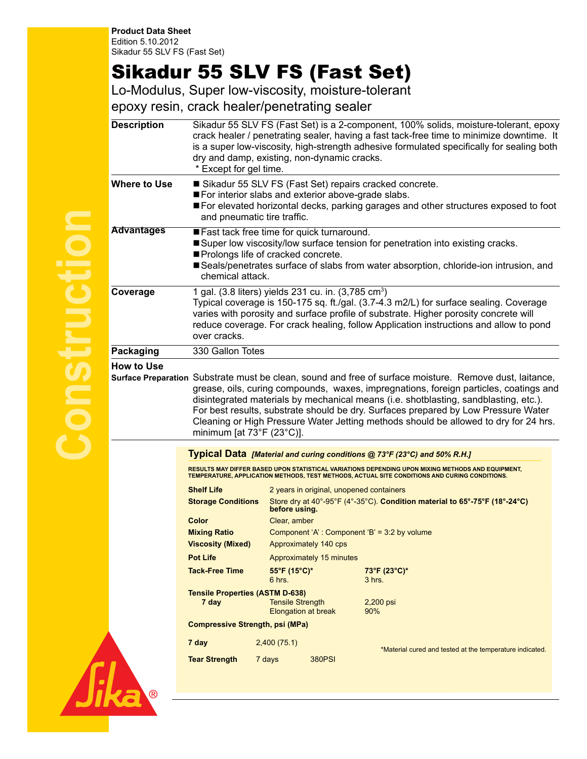**Product Data Sheet** Edition 5.10.2012 Sikadur 55 SLV FS (Fast Set)

## Sikadur 55 SLV FS (Fast Set)

Lo-Modulus, Super low-viscosity, moisture-tolerant

epoxy resin, crack healer/penetrating sealer

| <b>Description</b>                                                                                                                                                                                                                                                                                                                                                                                                                                                                                  | Sikadur 55 SLV FS (Fast Set) is a 2-component, 100% solids, moisture-tolerant, epoxy<br>crack healer / penetrating sealer, having a fast tack-free time to minimize downtime. It<br>is a super low-viscosity, high-strength adhesive formulated specifically for sealing both<br>dry and damp, existing, non-dynamic cracks.<br>* Except for gel time.    |                                                                                                                                                                                                    |                                                                                             |                                                          |  |  |
|-----------------------------------------------------------------------------------------------------------------------------------------------------------------------------------------------------------------------------------------------------------------------------------------------------------------------------------------------------------------------------------------------------------------------------------------------------------------------------------------------------|-----------------------------------------------------------------------------------------------------------------------------------------------------------------------------------------------------------------------------------------------------------------------------------------------------------------------------------------------------------|----------------------------------------------------------------------------------------------------------------------------------------------------------------------------------------------------|---------------------------------------------------------------------------------------------|----------------------------------------------------------|--|--|
| <b>Where to Use</b>                                                                                                                                                                                                                                                                                                                                                                                                                                                                                 | Sikadur 55 SLV FS (Fast Set) repairs cracked concrete.<br>For interior slabs and exterior above-grade slabs.<br>■ For elevated horizontal decks, parking garages and other structures exposed to foot<br>and pneumatic tire traffic.                                                                                                                      |                                                                                                                                                                                                    |                                                                                             |                                                          |  |  |
| <b>Advantages</b>                                                                                                                                                                                                                                                                                                                                                                                                                                                                                   | Fast tack free time for quick turnaround.<br>Super low viscosity/low surface tension for penetration into existing cracks.<br>Prolongs life of cracked concrete.<br>Seals/penetrates surface of slabs from water absorption, chloride-ion intrusion, and<br>chemical attack.                                                                              |                                                                                                                                                                                                    |                                                                                             |                                                          |  |  |
| Coverage                                                                                                                                                                                                                                                                                                                                                                                                                                                                                            | 1 gal. (3.8 liters) yields 231 cu. in. (3,785 cm <sup>3</sup> )<br>Typical coverage is 150-175 sq. ft./gal. (3.7-4.3 m2/L) for surface sealing. Coverage<br>varies with porosity and surface profile of substrate. Higher porosity concrete will<br>reduce coverage. For crack healing, follow Application instructions and allow to pond<br>over cracks. |                                                                                                                                                                                                    |                                                                                             |                                                          |  |  |
| Packaging                                                                                                                                                                                                                                                                                                                                                                                                                                                                                           | 330 Gallon Totes                                                                                                                                                                                                                                                                                                                                          |                                                                                                                                                                                                    |                                                                                             |                                                          |  |  |
| Surface Preparation Substrate must be clean, sound and free of surface moisture. Remove dust, laitance,<br>grease, oils, curing compounds, waxes, impregnations, foreign particles, coatings and<br>disintegrated materials by mechanical means (i.e. shotblasting, sandblasting, etc.).<br>For best results, substrate should be dry. Surfaces prepared by Low Pressure Water<br>Cleaning or High Pressure Water Jetting methods should be allowed to dry for 24 hrs.<br>minimum [at 73°F (23°C)]. |                                                                                                                                                                                                                                                                                                                                                           |                                                                                                                                                                                                    |                                                                                             |                                                          |  |  |
|                                                                                                                                                                                                                                                                                                                                                                                                                                                                                                     |                                                                                                                                                                                                                                                                                                                                                           | Typical Data [Material and curing conditions @ 73°F (23°C) and 50% R.H.]                                                                                                                           |                                                                                             |                                                          |  |  |
|                                                                                                                                                                                                                                                                                                                                                                                                                                                                                                     |                                                                                                                                                                                                                                                                                                                                                           | RESULTS MAY DIFFER BASED UPON STATISTICAL VARIATIONS DEPENDING UPON MIXING METHODS AND EQUIPMENT,<br>TEMPERATURE, APPLICATION METHODS, TEST METHODS, ACTUAL SITE CONDITIONS AND CURING CONDITIONS. |                                                                                             |                                                          |  |  |
|                                                                                                                                                                                                                                                                                                                                                                                                                                                                                                     | <b>Shelf Life</b>                                                                                                                                                                                                                                                                                                                                         |                                                                                                                                                                                                    | 2 years in original, unopened containers                                                    |                                                          |  |  |
|                                                                                                                                                                                                                                                                                                                                                                                                                                                                                                     | <b>Storage Conditions</b>                                                                                                                                                                                                                                                                                                                                 |                                                                                                                                                                                                    | Store dry at 40°-95°F (4°-35°C). Condition material to 65°-75°F (18°-24°C)<br>before using. |                                                          |  |  |
|                                                                                                                                                                                                                                                                                                                                                                                                                                                                                                     | Color                                                                                                                                                                                                                                                                                                                                                     | Clear, amber                                                                                                                                                                                       |                                                                                             |                                                          |  |  |
|                                                                                                                                                                                                                                                                                                                                                                                                                                                                                                     | <b>Mixing Ratio</b>                                                                                                                                                                                                                                                                                                                                       |                                                                                                                                                                                                    | Component 'A': Component 'B' = 3:2 by volume                                                |                                                          |  |  |
|                                                                                                                                                                                                                                                                                                                                                                                                                                                                                                     | <b>Viscosity (Mixed)</b>                                                                                                                                                                                                                                                                                                                                  |                                                                                                                                                                                                    | Approximately 140 cps                                                                       |                                                          |  |  |
|                                                                                                                                                                                                                                                                                                                                                                                                                                                                                                     | <b>Pot Life</b>                                                                                                                                                                                                                                                                                                                                           |                                                                                                                                                                                                    | Approximately 15 minutes                                                                    |                                                          |  |  |
|                                                                                                                                                                                                                                                                                                                                                                                                                                                                                                     | <b>Tack-Free Time</b>                                                                                                                                                                                                                                                                                                                                     | 55°F (15°C)*<br>6 hrs.                                                                                                                                                                             |                                                                                             | 73°F (23°C)*<br>$3$ hrs.                                 |  |  |
|                                                                                                                                                                                                                                                                                                                                                                                                                                                                                                     | <b>Tensile Properties (ASTM D-638)</b><br>7 day                                                                                                                                                                                                                                                                                                           | <b>Tensile Strength</b>                                                                                                                                                                            | <b>Elongation at break</b>                                                                  | $2,200$ psi<br>90%                                       |  |  |
|                                                                                                                                                                                                                                                                                                                                                                                                                                                                                                     | <b>Compressive Strength, psi (MPa)</b>                                                                                                                                                                                                                                                                                                                    |                                                                                                                                                                                                    |                                                                                             |                                                          |  |  |
|                                                                                                                                                                                                                                                                                                                                                                                                                                                                                                     | 7 day                                                                                                                                                                                                                                                                                                                                                     | 2,400(75.1)                                                                                                                                                                                        |                                                                                             | *Material cured and tested at the temperature indicated. |  |  |
|                                                                                                                                                                                                                                                                                                                                                                                                                                                                                                     | <b>Tear Strength</b>                                                                                                                                                                                                                                                                                                                                      | 7 days                                                                                                                                                                                             | <b>380PSI</b>                                                                               |                                                          |  |  |

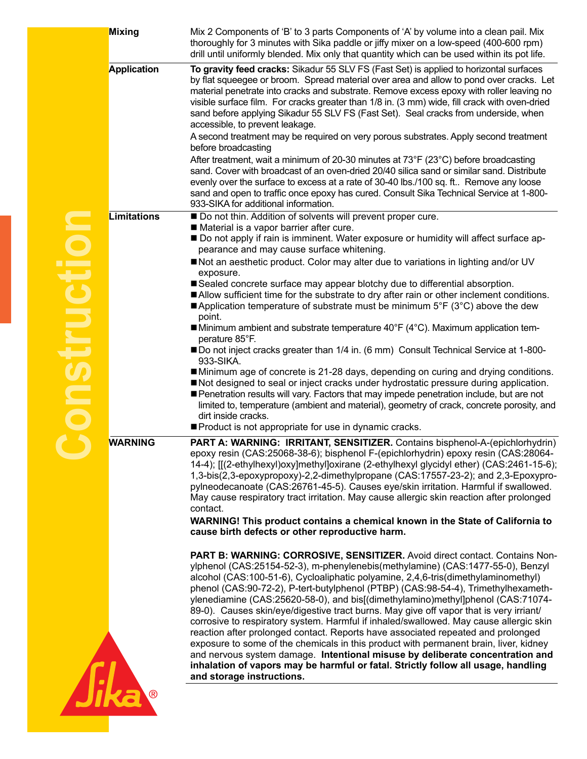| Mixing             | Mix 2 Components of 'B' to 3 parts Components of 'A' by volume into a clean pail. Mix<br>thoroughly for 3 minutes with Sika paddle or jiffy mixer on a low-speed (400-600 rpm)<br>drill until uniformly blended. Mix only that quantity which can be used within its pot life.                                                                                                                                                                                                                                                                                                                                                                                                                                                                                                                                                                                                                                                                                                                 |  |  |  |  |
|--------------------|------------------------------------------------------------------------------------------------------------------------------------------------------------------------------------------------------------------------------------------------------------------------------------------------------------------------------------------------------------------------------------------------------------------------------------------------------------------------------------------------------------------------------------------------------------------------------------------------------------------------------------------------------------------------------------------------------------------------------------------------------------------------------------------------------------------------------------------------------------------------------------------------------------------------------------------------------------------------------------------------|--|--|--|--|
| Application        | To gravity feed cracks: Sikadur 55 SLV FS (Fast Set) is applied to horizontal surfaces<br>by flat squeegee or broom. Spread material over area and allow to pond over cracks. Let<br>material penetrate into cracks and substrate. Remove excess epoxy with roller leaving no<br>visible surface film. For cracks greater than 1/8 in. (3 mm) wide, fill crack with oven-dried<br>sand before applying Sikadur 55 SLV FS (Fast Set). Seal cracks from underside, when<br>accessible, to prevent leakage.                                                                                                                                                                                                                                                                                                                                                                                                                                                                                       |  |  |  |  |
|                    | A second treatment may be required on very porous substrates. Apply second treatment<br>before broadcasting                                                                                                                                                                                                                                                                                                                                                                                                                                                                                                                                                                                                                                                                                                                                                                                                                                                                                    |  |  |  |  |
|                    | After treatment, wait a minimum of 20-30 minutes at 73°F (23°C) before broadcasting<br>sand. Cover with broadcast of an oven-dried 20/40 silica sand or similar sand. Distribute<br>evenly over the surface to excess at a rate of 30-40 lbs./100 sq. ft Remove any loose<br>sand and open to traffic once epoxy has cured. Consult Sika Technical Service at 1-800-<br>933-SIKA for additional information.                                                                                                                                                                                                                                                                                                                                                                                                                                                                                                                                                                                   |  |  |  |  |
| <b>Limitations</b> | Do not thin. Addition of solvents will prevent proper cure.                                                                                                                                                                                                                                                                                                                                                                                                                                                                                                                                                                                                                                                                                                                                                                                                                                                                                                                                    |  |  |  |  |
|                    | Material is a vapor barrier after cure.<br>■ Do not apply if rain is imminent. Water exposure or humidity will affect surface ap-<br>pearance and may cause surface whitening.                                                                                                                                                                                                                                                                                                                                                                                                                                                                                                                                                                                                                                                                                                                                                                                                                 |  |  |  |  |
|                    | Not an aesthetic product. Color may alter due to variations in lighting and/or UV                                                                                                                                                                                                                                                                                                                                                                                                                                                                                                                                                                                                                                                                                                                                                                                                                                                                                                              |  |  |  |  |
|                    | exposure.<br>Sealed concrete surface may appear blotchy due to differential absorption.<br>Allow sufficient time for the substrate to dry after rain or other inclement conditions.<br><b>Application temperature of substrate must be minimum 5°F (3°C) above the dew</b><br>point.                                                                                                                                                                                                                                                                                                                                                                                                                                                                                                                                                                                                                                                                                                           |  |  |  |  |
|                    | ■ Minimum ambient and substrate temperature 40°F (4°C). Maximum application tem-<br>perature 85°F.                                                                                                                                                                                                                                                                                                                                                                                                                                                                                                                                                                                                                                                                                                                                                                                                                                                                                             |  |  |  |  |
|                    | ■ Do not inject cracks greater than 1/4 in. (6 mm) Consult Technical Service at 1-800-<br>933-SIKA.                                                                                                                                                                                                                                                                                                                                                                                                                                                                                                                                                                                                                                                                                                                                                                                                                                                                                            |  |  |  |  |
|                    | ■Minimum age of concrete is 21-28 days, depending on curing and drying conditions.<br>Not designed to seal or inject cracks under hydrostatic pressure during application.<br>Penetration results will vary. Factors that may impede penetration include, but are not<br>limited to, temperature (ambient and material), geometry of crack, concrete porosity, and<br>dirt inside cracks.                                                                                                                                                                                                                                                                                                                                                                                                                                                                                                                                                                                                      |  |  |  |  |
|                    | Product is not appropriate for use in dynamic cracks.                                                                                                                                                                                                                                                                                                                                                                                                                                                                                                                                                                                                                                                                                                                                                                                                                                                                                                                                          |  |  |  |  |
| <b>WARNING</b>     | PART A: WARNING: IRRITANT, SENSITIZER. Contains bisphenol-A-(epichlorhydrin)<br>epoxy resin (CAS:25068-38-6); bisphenol F-(epichlorhydrin) epoxy resin (CAS:28064-<br>14-4); [[(2-ethylhexyl)oxy]methyl]oxirane (2-ethylhexyl glycidyl ether) (CAS:2461-15-6);<br>1,3-bis(2,3-epoxypropoxy)-2,2-dimethylpropane (CAS:17557-23-2); and 2,3-Epoxypro-<br>pylneodecanoate (CAS:26761-45-5). Causes eye/skin irritation. Harmful if swallowed.<br>May cause respiratory tract irritation. May cause allergic skin reaction after prolonged<br>contact.                                                                                                                                                                                                                                                                                                                                                                                                                                             |  |  |  |  |
|                    | WARNING! This product contains a chemical known in the State of California to<br>cause birth defects or other reproductive harm.                                                                                                                                                                                                                                                                                                                                                                                                                                                                                                                                                                                                                                                                                                                                                                                                                                                               |  |  |  |  |
|                    | PART B: WARNING: CORROSIVE, SENSITIZER. Avoid direct contact. Contains Non-<br>ylphenol (CAS:25154-52-3), m-phenylenebis(methylamine) (CAS:1477-55-0), Benzyl<br>alcohol (CAS:100-51-6), Cycloaliphatic polyamine, 2,4,6-tris(dimethylaminomethyl)<br>phenol (CAS:90-72-2), P-tert-butylphenol (PTBP) (CAS:98-54-4), Trimethylhexameth-<br>ylenediamine (CAS:25620-58-0), and bis[(dimethylamino)methyl]phenol (CAS:71074-<br>89-0). Causes skin/eye/digestive tract burns. May give off vapor that is very irriant/<br>corrosive to respiratory system. Harmful if inhaled/swallowed. May cause allergic skin<br>reaction after prolonged contact. Reports have associated repeated and prolonged<br>exposure to some of the chemicals in this product with permanent brain, liver, kidney<br>and nervous system damage. Intentional misuse by deliberate concentration and<br>inhalation of vapors may be harmful or fatal. Strictly follow all usage, handling<br>and storage instructions. |  |  |  |  |